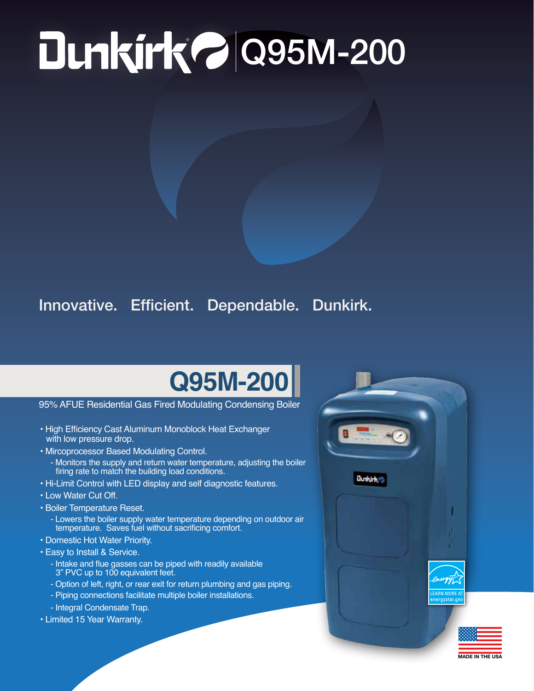## ® Q95M-200

## Innovative. Efficient. Dependable. Dunkirk.

## **Q95M-200**

95% AFUE Residential Gas Fired Modulating Condensing Boiler

- High Efficiency Cast Aluminum Monoblock Heat Exchanger with low pressure drop.
- Mircoprocessor Based Modulating Control.
	- Monitors the supply and return water temperature, adjusting the boiler firing rate to match the building load conditions.
- Hi-Limit Control with LED display and self diagnostic features.
- Low Water Cut Off.
- Boiler Temperature Reset.
	- Lowers the boiler supply water temperature depending on outdoor air temperature. Saves fuel without sacrificing comfort.
- Domestic Hot Water Priority.
- Easy to Install & Service.
	- Intake and flue gasses can be piped with readily available 3" PVC up to 100 equivalent feet.
	- Option of left, right, or rear exit for return plumbing and gas piping.
	- Piping connections facilitate multiple boiler installations.
	- Integral Condensate Trap.
- Limited 15 Year Warranty.